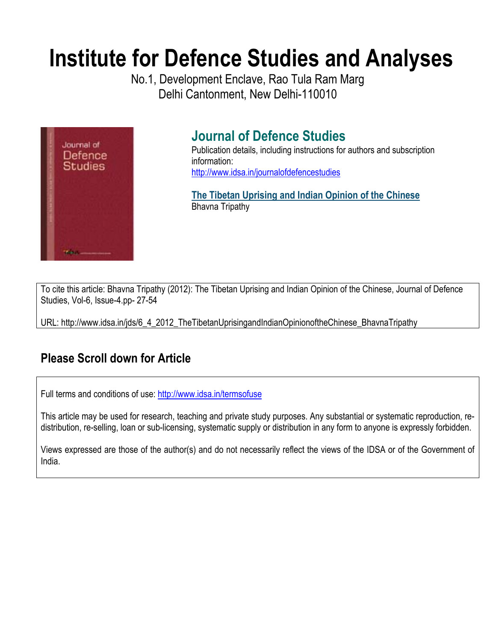# **Institute for Defence Studies and Analyses**

No.1, Development Enclave, Rao Tula Ram Marg Delhi Cantonment, New Delhi-110010



# **Journal of Defence Studies**

Publication details, including instructions for authors and subscription information: http://www.idsa.in/journalofdefencestudies

**The Tibetan Uprising and Indian Opinion of the Chinese**  Bhavna Tripathy

To cite this article: Bhavna Tripathy (2012): The Tibetan Uprising and Indian Opinion of the Chinese, Journal of Defence Studies, Vol-6, Issue-4.pp- 27-54

URL: http://www.idsa.in/jds/6\_4\_2012\_TheTibetanUprisingandIndianOpinionoftheChinese\_BhavnaTripathy

## **Please Scroll down for Article**

Full terms and conditions of use: http://www.idsa.in/termsofuse

This article may be used for research, teaching and private study purposes. Any substantial or systematic reproduction, redistribution, re-selling, loan or sub-licensing, systematic supply or distribution in any form to anyone is expressly forbidden.

Views expressed are those of the author(s) and do not necessarily reflect the views of the IDSA or of the Government of India.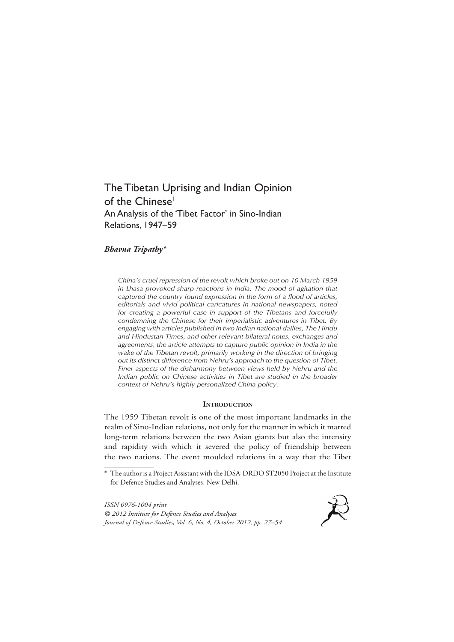## The Tibetan Uprising and Indian Opinion of the Chinese<sup>1</sup> An Analysis of the 'Tibet Factor' in Sino-Indian Relations, 1947–59

#### *Bhavna Tripathy\**

*China's cruel repression of the revolt which broke out on 10 March 1959 in Lhasa provoked sharp reactions in India. The mood of agitation that captured the country found expression in the form of a flood of articles, editorials and vivid political caricatures in national newspapers, noted for creating a powerful case in support of the Tibetans and forcefully condemning the Chinese for their imperialistic adventures in Tibet. By engaging with articles published in two Indian national dailies, The Hindu and Hindustan Times, and other relevant bilateral notes, exchanges and agreements, the article attempts to capture public opinion in India in the wake of the Tibetan revolt, primarily working in the direction of bringing out its distinct difference from Nehru's approach to the question of Tibet. Finer aspects of the disharmony between views held by Nehru and the Indian public on Chinese activities in Tibet are studied in the broader context of Nehru's highly personalized China policy.*

#### **INTRODUCTION**

The 1959 Tibetan revolt is one of the most important landmarks in the realm of Sino-Indian relations, not only for the manner in which it marred long-term relations between the two Asian giants but also the intensity and rapidity with which it severed the policy of friendship between the two nations. The event moulded relations in a way that the Tibet

*ISSN 0976-1004 print © 2012 Institute for Defence Studies and Analyses Journal of Defence Studies, Vol. 6, No. 4, October 2012, pp. 27–54*



<sup>\*</sup> The author is a Project Assistant with the IDSA-DRDO ST2050 Project at the Institute for Defence Studies and Analyses, New Delhi.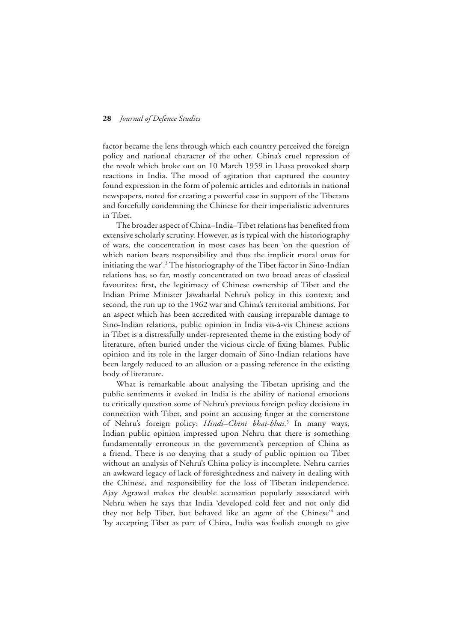factor became the lens through which each country perceived the foreign policy and national character of the other. China's cruel repression of the revolt which broke out on 10 March 1959 in Lhasa provoked sharp reactions in India. The mood of agitation that captured the country found expression in the form of polemic articles and editorials in national newspapers, noted for creating a powerful case in support of the Tibetans and forcefully condemning the Chinese for their imperialistic adventures in Tibet.

The broader aspect of China–India–Tibet relations has benefited from extensive scholarly scrutiny. However, as is typical with the historiography of wars, the concentration in most cases has been 'on the question of which nation bears responsibility and thus the implicit moral onus for initiating the war'.2 The historiography of the Tibet factor in Sino-Indian relations has, so far, mostly concentrated on two broad areas of classical favourites: first, the legitimacy of Chinese ownership of Tibet and the Indian Prime Minister Jawaharlal Nehru's policy in this context; and second, the run up to the 1962 war and China's territorial ambitions. For an aspect which has been accredited with causing irreparable damage to Sino-Indian relations, public opinion in India vis-à-vis Chinese actions in Tibet is a distressfully under-represented theme in the existing body of literature, often buried under the vicious circle of fixing blames. Public opinion and its role in the larger domain of Sino-Indian relations have been largely reduced to an allusion or a passing reference in the existing body of literature.

What is remarkable about analysing the Tibetan uprising and the public sentiments it evoked in India is the ability of national emotions to critically question some of Nehru's previous foreign policy decisions in connection with Tibet, and point an accusing finger at the cornerstone of Nehru's foreign policy: *Hindi–Chini bhai-bhai.*<sup>3</sup> In many ways, Indian public opinion impressed upon Nehru that there is something fundamentally erroneous in the government's perception of China as a friend. There is no denying that a study of public opinion on Tibet without an analysis of Nehru's China policy is incomplete. Nehru carries an awkward legacy of lack of foresightedness and naivety in dealing with the Chinese, and responsibility for the loss of Tibetan independence. Ajay Agrawal makes the double accusation popularly associated with Nehru when he says that India 'developed cold feet and not only did they not help Tibet, but behaved like an agent of the Chinese<sup>24</sup> and 'by accepting Tibet as part of China, India was foolish enough to give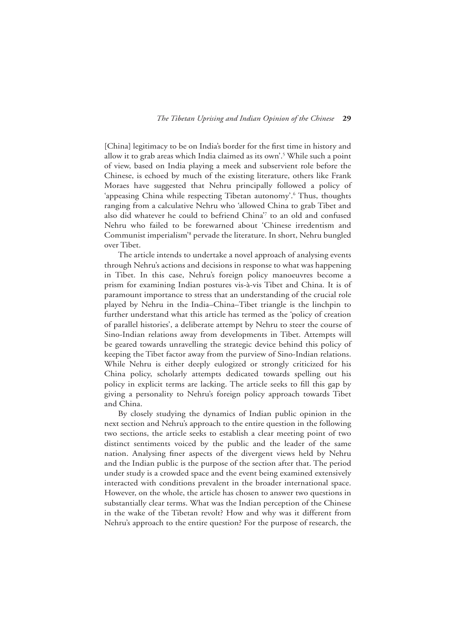[China] legitimacy to be on India's border for the first time in history and allow it to grab areas which India claimed as its own'.5 While such a point of view, based on India playing a meek and subservient role before the Chinese, is echoed by much of the existing literature, others like Frank Moraes have suggested that Nehru principally followed a policy of 'appeasing China while respecting Tibetan autonomy'.<sup>6</sup> Thus, thoughts ranging from a calculative Nehru who 'allowed China to grab Tibet and also did whatever he could to befriend China'7 to an old and confused Nehru who failed to be forewarned about 'Chinese irredentism and Communist imperialism'<sup>8</sup> pervade the literature. In short, Nehru bungled over Tibet.

The article intends to undertake a novel approach of analysing events through Nehru's actions and decisions in response to what was happening in Tibet. In this case, Nehru's foreign policy manoeuvres become a prism for examining Indian postures vis-à-vis Tibet and China. It is of paramount importance to stress that an understanding of the crucial role played by Nehru in the India–China–Tibet triangle is the linchpin to further understand what this article has termed as the 'policy of creation of parallel histories', a deliberate attempt by Nehru to steer the course of Sino-Indian relations away from developments in Tibet. Attempts will be geared towards unravelling the strategic device behind this policy of keeping the Tibet factor away from the purview of Sino-Indian relations. While Nehru is either deeply eulogized or strongly criticized for his China policy, scholarly attempts dedicated towards spelling out his policy in explicit terms are lacking. The article seeks to fill this gap by giving a personality to Nehru's foreign policy approach towards Tibet and China.

By closely studying the dynamics of Indian public opinion in the next section and Nehru's approach to the entire question in the following two sections, the article seeks to establish a clear meeting point of two distinct sentiments voiced by the public and the leader of the same nation. Analysing finer aspects of the divergent views held by Nehru and the Indian public is the purpose of the section after that. The period under study is a crowded space and the event being examined extensively interacted with conditions prevalent in the broader international space. However, on the whole, the article has chosen to answer two questions in substantially clear terms. What was the Indian perception of the Chinese in the wake of the Tibetan revolt? How and why was it different from Nehru's approach to the entire question? For the purpose of research, the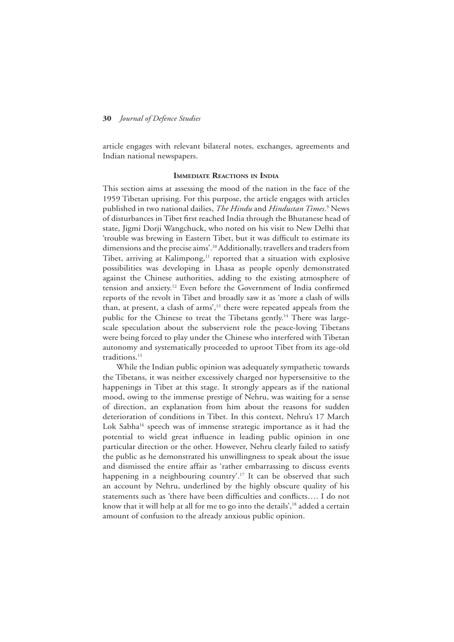article engages with relevant bilateral notes, exchanges, agreements and Indian national newspapers.

#### **Immediate Reactions in India**

This section aims at assessing the mood of the nation in the face of the 1959 Tibetan uprising. For this purpose, the article engages with articles published in two national dailies, *The Hindu* and *Hindustan Times*. 9 News of disturbances in Tibet first reached India through the Bhutanese head of state, Jigmi Dorji Wangchuck, who noted on his visit to New Delhi that 'trouble was brewing in Eastern Tibet, but it was difficult to estimate its dimensions and the precise aims'.10 Additionally, travellers and traders from Tibet, arriving at Kalimpong,<sup>11</sup> reported that a situation with explosive possibilities was developing in Lhasa as people openly demonstrated against the Chinese authorities, adding to the existing atmosphere of tension and anxiety.12 Even before the Government of India confirmed reports of the revolt in Tibet and broadly saw it as 'more a clash of wills than, at present, a clash of arms',<sup>13</sup> there were repeated appeals from the public for the Chinese to treat the Tibetans gently.<sup>14</sup> There was largescale speculation about the subservient role the peace-loving Tibetans were being forced to play under the Chinese who interfered with Tibetan autonomy and systematically proceeded to uproot Tibet from its age-old traditions.15

While the Indian public opinion was adequately sympathetic towards the Tibetans, it was neither excessively charged nor hypersensitive to the happenings in Tibet at this stage. It strongly appears as if the national mood, owing to the immense prestige of Nehru, was waiting for a sense of direction, an explanation from him about the reasons for sudden deterioration of conditions in Tibet. In this context, Nehru's 17 March Lok Sabha<sup>16</sup> speech was of immense strategic importance as it had the potential to wield great influence in leading public opinion in one particular direction or the other. However, Nehru clearly failed to satisfy the public as he demonstrated his unwillingness to speak about the issue and dismissed the entire affair as 'rather embarrassing to discuss events happening in a neighbouring country'.<sup>17</sup> It can be observed that such an account by Nehru, underlined by the highly obscure quality of his statements such as 'there have been difficulties and conflicts…. I do not know that it will help at all for me to go into the details',<sup>18</sup> added a certain amount of confusion to the already anxious public opinion.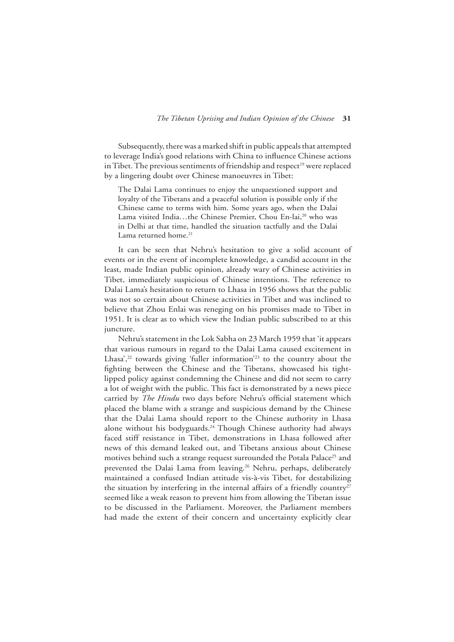Subsequently, there was a marked shift in public appeals that attempted to leverage India's good relations with China to influence Chinese actions in Tibet. The previous sentiments of friendship and respect<sup>19</sup> were replaced by a lingering doubt over Chinese manoeuvres in Tibet:

The Dalai Lama continues to enjoy the unquestioned support and loyalty of the Tibetans and a peaceful solution is possible only if the Chinese came to terms with him. Some years ago, when the Dalai Lama visited India...the Chinese Premier, Chou En-lai,<sup>20</sup> who was in Delhi at that time, handled the situation tactfully and the Dalai Lama returned home.<sup>21</sup>

It can be seen that Nehru's hesitation to give a solid account of events or in the event of incomplete knowledge, a candid account in the least, made Indian public opinion, already wary of Chinese activities in Tibet, immediately suspicious of Chinese intentions. The reference to Dalai Lama's hesitation to return to Lhasa in 1956 shows that the public was not so certain about Chinese activities in Tibet and was inclined to believe that Zhou Enlai was reneging on his promises made to Tibet in 1951. It is clear as to which view the Indian public subscribed to at this juncture.

Nehru's statement in the Lok Sabha on 23 March 1959 that 'it appears that various rumours in regard to the Dalai Lama caused excitement in Lhasa',<sup>22</sup> towards giving 'fuller information'<sup>23</sup> to the country about the fighting between the Chinese and the Tibetans, showcased his tightlipped policy against condemning the Chinese and did not seem to carry a lot of weight with the public. This fact is demonstrated by a news piece carried by *The Hindu* two days before Nehru's official statement which placed the blame with a strange and suspicious demand by the Chinese that the Dalai Lama should report to the Chinese authority in Lhasa alone without his bodyguards.<sup>24</sup> Though Chinese authority had always faced stiff resistance in Tibet, demonstrations in Lhasa followed after news of this demand leaked out, and Tibetans anxious about Chinese motives behind such a strange request surrounded the Potala Palace<sup>25</sup> and prevented the Dalai Lama from leaving.<sup>26</sup> Nehru, perhaps, deliberately maintained a confused Indian attitude vis-à-vis Tibet, for destabilizing the situation by interfering in the internal affairs of a friendly country<sup>27</sup> seemed like a weak reason to prevent him from allowing the Tibetan issue to be discussed in the Parliament. Moreover, the Parliament members had made the extent of their concern and uncertainty explicitly clear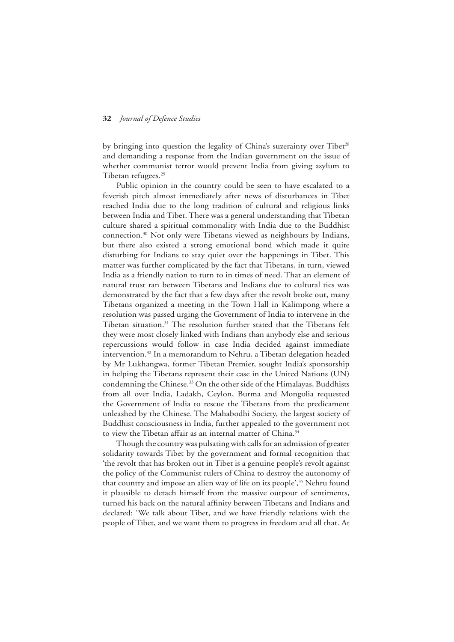by bringing into question the legality of China's suzerainty over Tibet<sup>28</sup> and demanding a response from the Indian government on the issue of whether communist terror would prevent India from giving asylum to Tibetan refugees.<sup>29</sup>

Public opinion in the country could be seen to have escalated to a feverish pitch almost immediately after news of disturbances in Tibet reached India due to the long tradition of cultural and religious links between India and Tibet. There was a general understanding that Tibetan culture shared a spiritual commonality with India due to the Buddhist connection.30 Not only were Tibetans viewed as neighbours by Indians, but there also existed a strong emotional bond which made it quite disturbing for Indians to stay quiet over the happenings in Tibet. This matter was further complicated by the fact that Tibetans, in turn, viewed India as a friendly nation to turn to in times of need. That an element of natural trust ran between Tibetans and Indians due to cultural ties was demonstrated by the fact that a few days after the revolt broke out, many Tibetans organized a meeting in the Town Hall in Kalimpong where a resolution was passed urging the Government of India to intervene in the Tibetan situation.<sup>31</sup> The resolution further stated that the Tibetans felt they were most closely linked with Indians than anybody else and serious repercussions would follow in case India decided against immediate intervention.32 In a memorandum to Nehru, a Tibetan delegation headed by Mr Lukhangwa, former Tibetan Premier, sought India's sponsorship in helping the Tibetans represent their case in the United Nations (UN) condemning the Chinese.<sup>33</sup> On the other side of the Himalayas, Buddhists from all over India, Ladakh, Ceylon, Burma and Mongolia requested the Government of India to rescue the Tibetans from the predicament unleashed by the Chinese. The Mahabodhi Society, the largest society of Buddhist consciousness in India, further appealed to the government not to view the Tibetan affair as an internal matter of China.<sup>34</sup>

Though the country was pulsating with calls for an admission of greater solidarity towards Tibet by the government and formal recognition that 'the revolt that has broken out in Tibet is a genuine people's revolt against the policy of the Communist rulers of China to destroy the autonomy of that country and impose an alien way of life on its people',<sup>35</sup> Nehru found it plausible to detach himself from the massive outpour of sentiments, turned his back on the natural affinity between Tibetans and Indians and declared: 'We talk about Tibet, and we have friendly relations with the people of Tibet, and we want them to progress in freedom and all that. At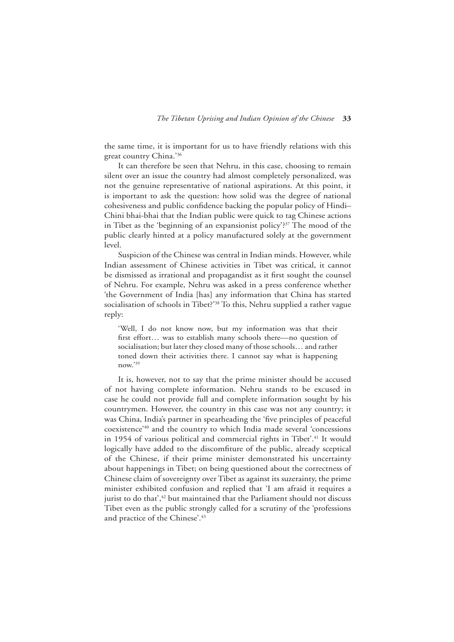the same time, it is important for us to have friendly relations with this great country China.'36

It can therefore be seen that Nehru, in this case, choosing to remain silent over an issue the country had almost completely personalized, was not the genuine representative of national aspirations. At this point, it is important to ask the question: how solid was the degree of national cohesiveness and public confidence backing the popular policy of Hindi– Chini bhai-bhai that the Indian public were quick to tag Chinese actions in Tibet as the 'beginning of an expansionist policy'?<sup>37</sup> The mood of the public clearly hinted at a policy manufactured solely at the government level.

Suspicion of the Chinese was central in Indian minds. However, while Indian assessment of Chinese activities in Tibet was critical, it cannot be dismissed as irrational and propagandist as it first sought the counsel of Nehru. For example, Nehru was asked in a press conference whether 'the Government of India [has] any information that China has started socialisation of schools in Tibet?'<sup>38</sup> To this, Nehru supplied a rather vague reply:

'Well, I do not know now, but my information was that their first effort… was to establish many schools there—no question of socialisation; but later they closed many of those schools… and rather toned down their activities there. I cannot say what is happening now.'39

It is, however, not to say that the prime minister should be accused of not having complete information. Nehru stands to be excused in case he could not provide full and complete information sought by his countrymen. However, the country in this case was not any country; it was China, India's partner in spearheading the 'five principles of peaceful coexistence'40 and the country to which India made several 'concessions in 1954 of various political and commercial rights in Tibet'.<sup>41</sup> It would logically have added to the discomfiture of the public, already sceptical of the Chinese, if their prime minister demonstrated his uncertainty about happenings in Tibet; on being questioned about the correctness of Chinese claim of sovereignty over Tibet as against its suzerainty, the prime minister exhibited confusion and replied that 'I am afraid it requires a jurist to do that<sup>', 42</sup> but maintained that the Parliament should not discuss Tibet even as the public strongly called for a scrutiny of the 'professions and practice of the Chinese'.<sup>43</sup>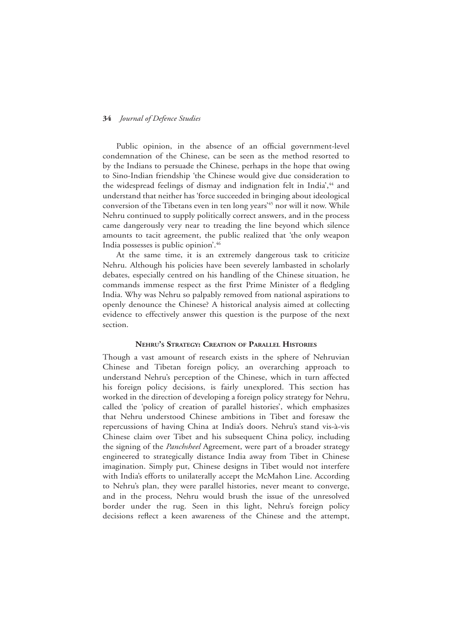Public opinion, in the absence of an official government-level condemnation of the Chinese, can be seen as the method resorted to by the Indians to persuade the Chinese, perhaps in the hope that owing to Sino-Indian friendship 'the Chinese would give due consideration to the widespread feelings of dismay and indignation felt in India<sup>',44</sup> and understand that neither has 'force succeeded in bringing about ideological conversion of the Tibetans even in ten long years<sup>'45</sup> nor will it now. While Nehru continued to supply politically correct answers, and in the process came dangerously very near to treading the line beyond which silence amounts to tacit agreement, the public realized that 'the only weapon India possesses is public opinion'.46

At the same time, it is an extremely dangerous task to criticize Nehru. Although his policies have been severely lambasted in scholarly debates, especially centred on his handling of the Chinese situation, he commands immense respect as the first Prime Minister of a fledgling India. Why was Nehru so palpably removed from national aspirations to openly denounce the Chinese? A historical analysis aimed at collecting evidence to effectively answer this question is the purpose of the next section.

#### **Nehru's Strategy: Creation of Parallel Histories**

Though a vast amount of research exists in the sphere of Nehruvian Chinese and Tibetan foreign policy, an overarching approach to understand Nehru's perception of the Chinese, which in turn affected his foreign policy decisions, is fairly unexplored. This section has worked in the direction of developing a foreign policy strategy for Nehru, called the 'policy of creation of parallel histories', which emphasizes that Nehru understood Chinese ambitions in Tibet and foresaw the repercussions of having China at India's doors. Nehru's stand vis-à-vis Chinese claim over Tibet and his subsequent China policy, including the signing of the *Panchsheel* Agreement, were part of a broader strategy engineered to strategically distance India away from Tibet in Chinese imagination. Simply put, Chinese designs in Tibet would not interfere with India's efforts to unilaterally accept the McMahon Line. According to Nehru's plan, they were parallel histories, never meant to converge, and in the process, Nehru would brush the issue of the unresolved border under the rug. Seen in this light, Nehru's foreign policy decisions reflect a keen awareness of the Chinese and the attempt,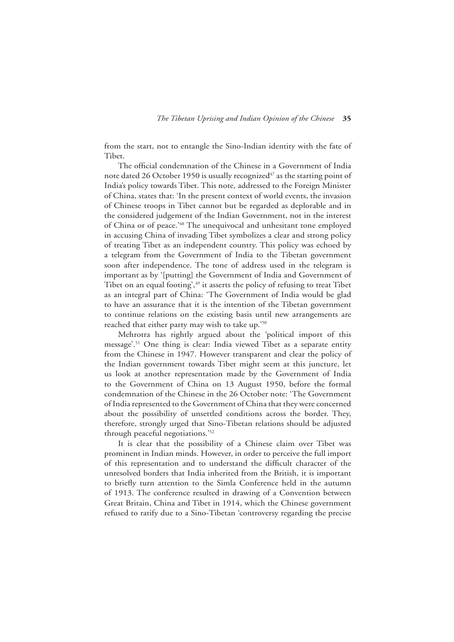from the start, not to entangle the Sino-Indian identity with the fate of Tibet.

The official condemnation of the Chinese in a Government of India note dated 26 October 1950 is usually recognized<sup>47</sup> as the starting point of India's policy towards Tibet. This note, addressed to the Foreign Minister of China, states that: 'In the present context of world events, the invasion of Chinese troops in Tibet cannot but be regarded as deplorable and in the considered judgement of the Indian Government, not in the interest of China or of peace.'48 The unequivocal and unhesitant tone employed in accusing China of invading Tibet symbolizes a clear and strong policy of treating Tibet as an independent country. This policy was echoed by a telegram from the Government of India to the Tibetan government soon after independence. The tone of address used in the telegram is important as by '[putting] the Government of India and Government of Tibet on an equal footing', <sup>49</sup> it asserts the policy of refusing to treat Tibet as an integral part of China: 'The Government of India would be glad to have an assurance that it is the intention of the Tibetan government to continue relations on the existing basis until new arrangements are reached that either party may wish to take up.'50

Mehrotra has rightly argued about the 'political import of this message'.51 One thing is clear: India viewed Tibet as a separate entity from the Chinese in 1947. However transparent and clear the policy of the Indian government towards Tibet might seem at this juncture, let us look at another representation made by the Government of India to the Government of China on 13 August 1950, before the formal condemnation of the Chinese in the 26 October note: 'The Government of India represented to the Government of China that they were concerned about the possibility of unsettled conditions across the border. They, therefore, strongly urged that Sino-Tibetan relations should be adjusted through peaceful negotiations.'52

It is clear that the possibility of a Chinese claim over Tibet was prominent in Indian minds. However, in order to perceive the full import of this representation and to understand the difficult character of the unresolved borders that India inherited from the British, it is important to briefly turn attention to the Simla Conference held in the autumn of 1913. The conference resulted in drawing of a Convention between Great Britain, China and Tibet in 1914, which the Chinese government refused to ratify due to a Sino-Tibetan 'controversy regarding the precise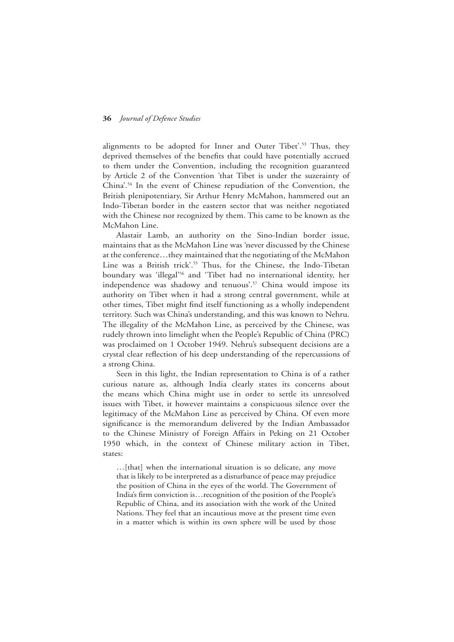alignments to be adopted for Inner and Outer Tibet'.53 Thus, they deprived themselves of the benefits that could have potentially accrued to them under the Convention, including the recognition guaranteed by Article 2 of the Convention 'that Tibet is under the suzerainty of China'.<sup>54</sup> In the event of Chinese repudiation of the Convention, the British plenipotentiary, Sir Arthur Henry McMahon, hammered out an Indo-Tibetan border in the eastern sector that was neither negotiated with the Chinese nor recognized by them. This came to be known as the McMahon Line.

Alastair Lamb, an authority on the Sino-Indian border issue, maintains that as the McMahon Line was 'never discussed by the Chinese at the conference…they maintained that the negotiating of the McMahon Line was a British trick'.<sup>55</sup> Thus, for the Chinese, the Indo-Tibetan boundary was 'illegal'<sup>56</sup> and 'Tibet had no international identity, her independence was shadowy and tenuous'.<sup>57</sup> China would impose its authority on Tibet when it had a strong central government, while at other times, Tibet might find itself functioning as a wholly independent territory. Such was China's understanding, and this was known to Nehru. The illegality of the McMahon Line, as perceived by the Chinese, was rudely thrown into limelight when the People's Republic of China (PRC) was proclaimed on 1 October 1949. Nehru's subsequent decisions are a crystal clear reflection of his deep understanding of the repercussions of a strong China.

Seen in this light, the Indian representation to China is of a rather curious nature as, although India clearly states its concerns about the means which China might use in order to settle its unresolved issues with Tibet, it however maintains a conspicuous silence over the legitimacy of the McMahon Line as perceived by China. Of even more significance is the memorandum delivered by the Indian Ambassador to the Chinese Ministry of Foreign Affairs in Peking on 21 October 1950 which, in the context of Chinese military action in Tibet, states:

…[that] when the international situation is so delicate, any move that is likely to be interpreted as a disturbance of peace may prejudice the position of China in the eyes of the world. The Government of India's firm conviction is…recognition of the position of the People's Republic of China, and its association with the work of the United Nations. They feel that an incautious move at the present time even in a matter which is within its own sphere will be used by those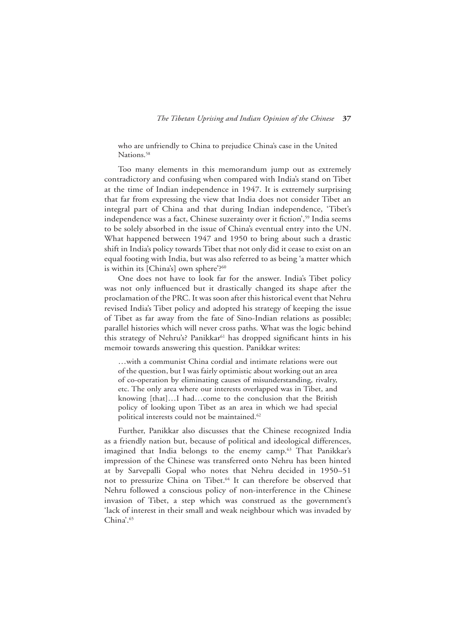who are unfriendly to China to prejudice China's case in the United Nations.<sup>58</sup>

Too many elements in this memorandum jump out as extremely contradictory and confusing when compared with India's stand on Tibet at the time of Indian independence in 1947. It is extremely surprising that far from expressing the view that India does not consider Tibet an integral part of China and that during Indian independence, 'Tibet's independence was a fact, Chinese suzerainty over it fiction',<sup>59</sup> India seems to be solely absorbed in the issue of China's eventual entry into the UN. What happened between 1947 and 1950 to bring about such a drastic shift in India's policy towards Tibet that not only did it cease to exist on an equal footing with India, but was also referred to as being 'a matter which is within its [China's] own sphere'?<sup>60</sup>

One does not have to look far for the answer. India's Tibet policy was not only influenced but it drastically changed its shape after the proclamation of the PRC. It was soon after this historical event that Nehru revised India's Tibet policy and adopted his strategy of keeping the issue of Tibet as far away from the fate of Sino-Indian relations as possible; parallel histories which will never cross paths. What was the logic behind this strategy of Nehru's? Panikkar<sup>61</sup> has dropped significant hints in his memoir towards answering this question. Panikkar writes:

…with a communist China cordial and intimate relations were out of the question, but I was fairly optimistic about working out an area of co-operation by eliminating causes of misunderstanding, rivalry, etc. The only area where our interests overlapped was in Tibet, and knowing [that]…I had…come to the conclusion that the British policy of looking upon Tibet as an area in which we had special political interests could not be maintained.<sup>62</sup>

Further, Panikkar also discusses that the Chinese recognized India as a friendly nation but, because of political and ideological differences, imagined that India belongs to the enemy camp.<sup>63</sup> That Panikkar's impression of the Chinese was transferred onto Nehru has been hinted at by Sarvepalli Gopal who notes that Nehru decided in 1950–51 not to pressurize China on Tibet.<sup>64</sup> It can therefore be observed that Nehru followed a conscious policy of non-interference in the Chinese invasion of Tibet, a step which was construed as the government's 'lack of interest in their small and weak neighbour which was invaded by China'.<sup>65</sup>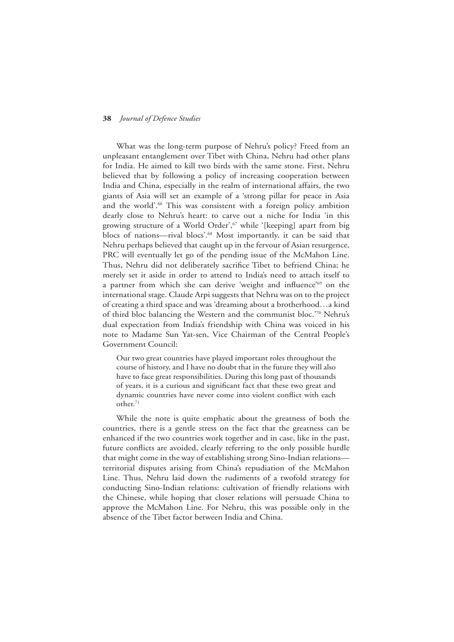What was the long-term purpose of Nehru's policy? Freed from an unpleasant entanglement over Tibet with China, Nehru had other plans for India. He aimed to kill two birds with the same stone. First, Nehru believed that by following a policy of increasing cooperation between India and China, especially in the realm of international affairs, the two giants of Asia will set an example of a 'strong pillar for peace in Asia and the world'.<sup>66</sup> This was consistent with a foreign policy ambition dearly close to Nehru's heart: to carve out a niche for India 'in this growing structure of a World Order',<sup>67</sup> while '[keeping] apart from big blocs of nations--rival blocs'.<sup>68</sup> Most importantly, it can be said that Nehru perhaps believed that caught up in the fervour of Asian resurgence, PRC will eventually let go of the pending issue of the McMahon Line. Thus, Nehru did not deliberately sacrifice Tibet to befriend China; he merely set it aside in order to attend to India's need to attach itself to a partner from which she can derive 'weight and influence'<sup>69</sup> on the international stage. Claude Arpi suggests that Nehru was on to the project of creating a third space and was 'dreaming about a brotherhood…a kind of third bloc balancing the Western and the communist bloc.'70 Nehru's dual expectation from India's friendship with China was voiced in his note to Madame Sun Yat-sen, Vice Chairman of the Central People's Government Council:

Our two great countries have played important roles throughout the course of history, and I have no doubt that in the future they will also have to face great responsibilities. During this long past of thousands of years, it is a curious and significant fact that these two great and dynamic countries have never come into violent conflict with each other.<sup>71</sup>

While the note is quite emphatic about the greatness of both the countries, there is a gentle stress on the fact that the greatness can be enhanced if the two countries work together and in case, like in the past, future conflicts are avoided, clearly referring to the only possible hurdle that might come in the way of establishing strong Sino-Indian relations territorial disputes arising from China's repudiation of the McMahon Line. Thus, Nehru laid down the rudiments of a twofold strategy for conducting Sino-Indian relations: cultivation of friendly relations with the Chinese, while hoping that closer relations will persuade China to approve the McMahon Line. For Nehru, this was possible only in the absence of the Tibet factor between India and China.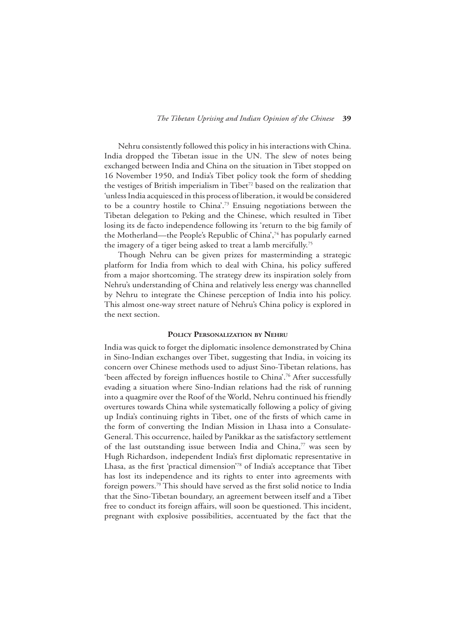Nehru consistently followed this policy in his interactions with China. India dropped the Tibetan issue in the UN. The slew of notes being exchanged between India and China on the situation in Tibet stopped on 16 November 1950, and India's Tibet policy took the form of shedding the vestiges of British imperialism in Tibet<sup>72</sup> based on the realization that 'unless India acquiesced in this process of liberation, it would be considered to be a country hostile to China'.73 Ensuing negotiations between the Tibetan delegation to Peking and the Chinese, which resulted in Tibet losing its de facto independence following its 'return to the big family of the Motherland—the People's Republic of China',74 has popularly earned the imagery of a tiger being asked to treat a lamb mercifully.<sup>75</sup>

Though Nehru can be given prizes for masterminding a strategic platform for India from which to deal with China, his policy suffered from a major shortcoming. The strategy drew its inspiration solely from Nehru's understanding of China and relatively less energy was channelled by Nehru to integrate the Chinese perception of India into his policy. This almost one-way street nature of Nehru's China policy is explored in the next section.

#### **Policy Personalization by Nehru**

India was quick to forget the diplomatic insolence demonstrated by China in Sino-Indian exchanges over Tibet, suggesting that India, in voicing its concern over Chinese methods used to adjust Sino-Tibetan relations, has 'been affected by foreign influences hostile to China'.<sup>76</sup> After successfully evading a situation where Sino-Indian relations had the risk of running into a quagmire over the Roof of the World, Nehru continued his friendly overtures towards China while systematically following a policy of giving up India's continuing rights in Tibet, one of the firsts of which came in the form of converting the Indian Mission in Lhasa into a Consulate-General. This occurrence, hailed by Panikkar as the satisfactory settlement of the last outstanding issue between India and China, $\frac{7}{7}$  was seen by Hugh Richardson, independent India's first diplomatic representative in Lhasa, as the first 'practical dimension'78 of India's acceptance that Tibet has lost its independence and its rights to enter into agreements with foreign powers.79 This should have served as the first solid notice to India that the Sino-Tibetan boundary, an agreement between itself and a Tibet free to conduct its foreign affairs, will soon be questioned. This incident, pregnant with explosive possibilities, accentuated by the fact that the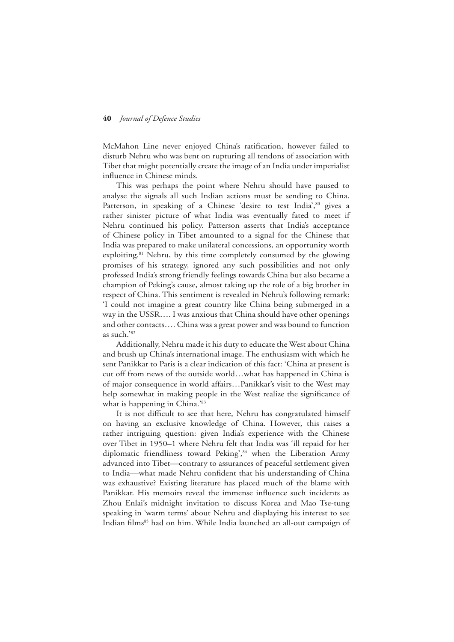McMahon Line never enjoyed China's ratification, however failed to disturb Nehru who was bent on rupturing all tendons of association with Tibet that might potentially create the image of an India under imperialist influence in Chinese minds.

This was perhaps the point where Nehru should have paused to analyse the signals all such Indian actions must be sending to China. Patterson, in speaking of a Chinese 'desire to test India',<sup>80</sup> gives a rather sinister picture of what India was eventually fated to meet if Nehru continued his policy. Patterson asserts that India's acceptance of Chinese policy in Tibet amounted to a signal for the Chinese that India was prepared to make unilateral concessions, an opportunity worth exploiting.<sup>81</sup> Nehru, by this time completely consumed by the glowing promises of his strategy, ignored any such possibilities and not only professed India's strong friendly feelings towards China but also became a champion of Peking's cause, almost taking up the role of a big brother in respect of China. This sentiment is revealed in Nehru's following remark: 'I could not imagine a great country like China being submerged in a way in the USSR…. I was anxious that China should have other openings and other contacts…. China was a great power and was bound to function as such.'82

Additionally, Nehru made it his duty to educate the West about China and brush up China's international image. The enthusiasm with which he sent Panikkar to Paris is a clear indication of this fact: 'China at present is cut off from news of the outside world…what has happened in China is of major consequence in world affairs…Panikkar's visit to the West may help somewhat in making people in the West realize the significance of what is happening in China.'83

It is not difficult to see that here, Nehru has congratulated himself on having an exclusive knowledge of China. However, this raises a rather intriguing question: given India's experience with the Chinese over Tibet in 1950–1 where Nehru felt that India was 'ill repaid for her diplomatic friendliness toward Peking', 84 when the Liberation Army advanced into Tibet—contrary to assurances of peaceful settlement given to India—what made Nehru confident that his understanding of China was exhaustive? Existing literature has placed much of the blame with Panikkar. His memoirs reveal the immense influence such incidents as Zhou Enlai's midnight invitation to discuss Korea and Mao Tse-tung speaking in 'warm terms' about Nehru and displaying his interest to see Indian films<sup>85</sup> had on him. While India launched an all-out campaign of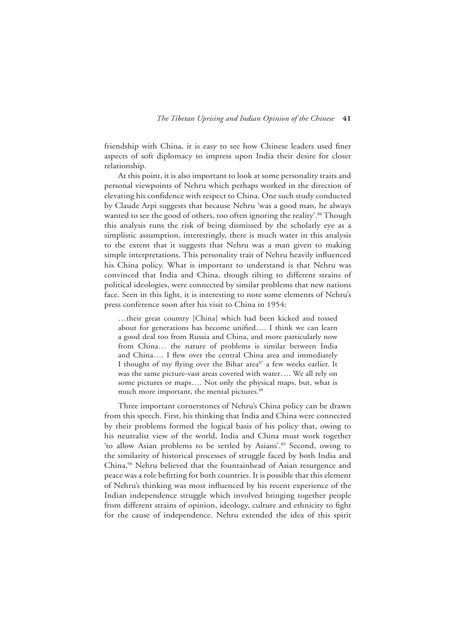friendship with China, it is easy to see how Chinese leaders used finer aspects of soft diplomacy to impress upon India their desire for closer relationship.

At this point, it is also important to look at some personality traits and personal viewpoints of Nehru which perhaps worked in the direction of elevating his confidence with respect to China. One such study conducted by Claude Arpi suggests that because Nehru 'was a good man, he always wanted to see the good of others, too often ignoring the reality'.<sup>86</sup> Though this analysis runs the risk of being dismissed by the scholarly eye as a simplistic assumption, interestingly, there is much water in this analysis to the extent that it suggests that Nehru was a man given to making simple interpretations. This personality trait of Nehru heavily influenced his China policy. What is important to understand is that Nehru was convinced that India and China, though tilting to different strains of political ideologies, were connected by similar problems that new nations face. Seen in this light, it is interesting to note some elements of Nehru's press conference soon after his visit to China in 1954:

…their great country [China] which had been kicked and tossed about for generations has become unified…. I think we can learn a good deal too from Russia and China, and more particularly now from China… the nature of problems is similar between India and China…. I flew over the central China area and immediately I thought of my flying over the Bihar area<sup>87</sup> a few weeks earlier. It was the same picture-vast areas covered with water…. We all rely on some pictures or maps…. Not only the physical maps, but, what is much more important, the mental pictures.<sup>88</sup>

Three important cornerstones of Nehru's China policy can be drawn from this speech. First, his thinking that India and China were connected by their problems formed the logical basis of his policy that, owing to his neutralist view of the world, India and China must work together 'to allow Asian problems to be settled by Asians'.<sup>89</sup> Second, owing to the similarity of historical processes of struggle faced by both India and China,<sup>90</sup> Nehru believed that the fountainhead of Asian resurgence and peace was a role befitting for both countries. It is possible that this element of Nehru's thinking was most influenced by his recent experience of the Indian independence struggle which involved bringing together people from different strains of opinion, ideology, culture and ethnicity to fight for the cause of independence. Nehru extended the idea of this spirit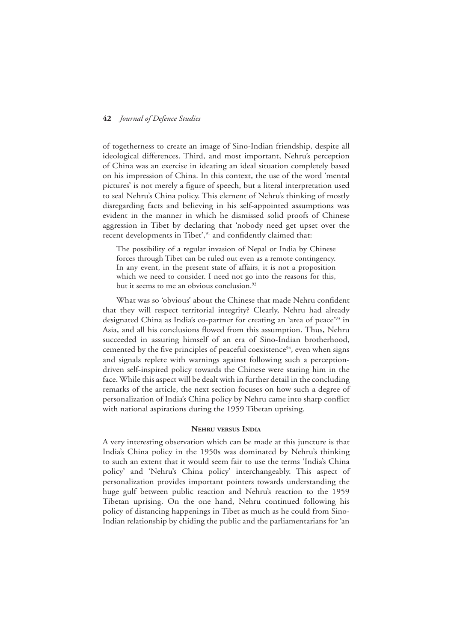of togetherness to create an image of Sino-Indian friendship, despite all ideological differences. Third, and most important, Nehru's perception of China was an exercise in ideating an ideal situation completely based on his impression of China. In this context, the use of the word 'mental pictures' is not merely a figure of speech, but a literal interpretation used to seal Nehru's China policy. This element of Nehru's thinking of mostly disregarding facts and believing in his self-appointed assumptions was evident in the manner in which he dismissed solid proofs of Chinese aggression in Tibet by declaring that 'nobody need get upset over the recent developments in Tibet',<sup>91</sup> and confidently claimed that:

The possibility of a regular invasion of Nepal or India by Chinese forces through Tibet can be ruled out even as a remote contingency. In any event, in the present state of affairs, it is not a proposition which we need to consider. I need not go into the reasons for this, but it seems to me an obvious conclusion.<sup>92</sup>

What was so 'obvious' about the Chinese that made Nehru confident that they will respect territorial integrity? Clearly, Nehru had already designated China as India's co-partner for creating an 'area of peace'93 in Asia, and all his conclusions flowed from this assumption. Thus, Nehru succeeded in assuring himself of an era of Sino-Indian brotherhood, cemented by the five principles of peaceful coexistence $94$ , even when signs and signals replete with warnings against following such a perceptiondriven self-inspired policy towards the Chinese were staring him in the face. While this aspect will be dealt with in further detail in the concluding remarks of the article, the next section focuses on how such a degree of personalization of India's China policy by Nehru came into sharp conflict with national aspirations during the 1959 Tibetan uprising.

#### **Nehru versus India**

A very interesting observation which can be made at this juncture is that India's China policy in the 1950s was dominated by Nehru's thinking to such an extent that it would seem fair to use the terms 'India's China policy' and 'Nehru's China policy' interchangeably. This aspect of personalization provides important pointers towards understanding the huge gulf between public reaction and Nehru's reaction to the 1959 Tibetan uprising. On the one hand, Nehru continued following his policy of distancing happenings in Tibet as much as he could from Sino-Indian relationship by chiding the public and the parliamentarians for 'an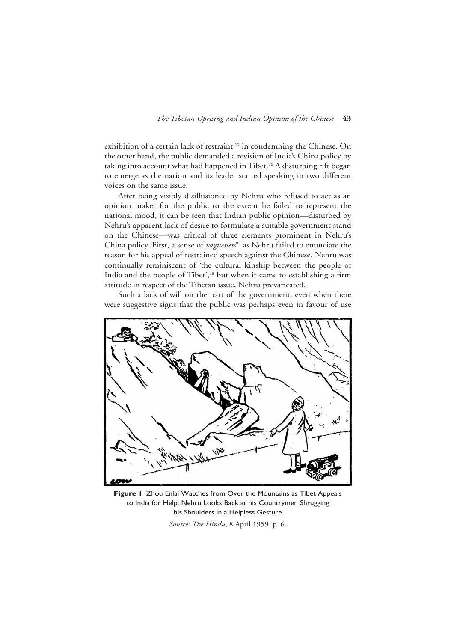exhibition of a certain lack of restraint'<sup>95</sup> in condemning the Chinese. On the other hand, the public demanded a revision of India's China policy by taking into account what had happened in Tibet.<sup>96</sup> A disturbing rift began to emerge as the nation and its leader started speaking in two different voices on the same issue.

After being visibly disillusioned by Nehru who refused to act as an opinion maker for the public to the extent he failed to represent the national mood, it can be seen that Indian public opinion—disturbed by Nehru's apparent lack of desire to formulate a suitable government stand on the Chinese—was critical of three elements prominent in Nehru's China policy. First, a sense of *vagueness<sup>97</sup>* as Nehru failed to enunciate the reason for his appeal of restrained speech against the Chinese. Nehru was continually reminiscent of 'the cultural kinship between the people of India and the people of Tibet',<sup>98</sup> but when it came to establishing a firm attitude in respect of the Tibetan issue, Nehru prevaricated.

Such a lack of will on the part of the government, even when there were suggestive signs that the public was perhaps even in favour of use



**Figure 1** Zhou Enlai Watches from Over the Mountains as Tibet Appeals to India for Help; Nehru Looks Back at his Countrymen Shrugging his Shoulders in a Helpless Gesture *Source: The Hindu*, 8 April 1959, p. 6.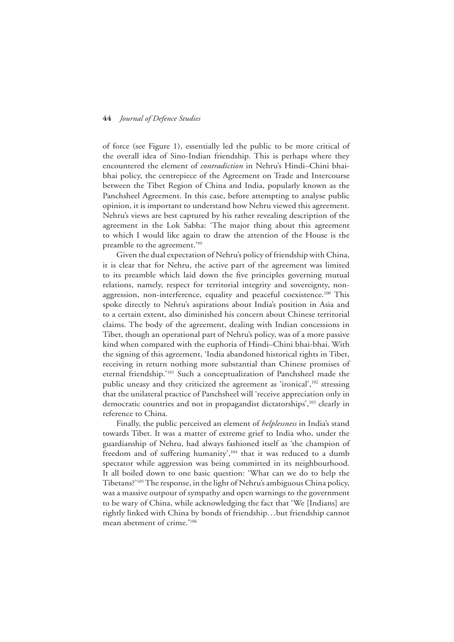of force (see Figure 1), essentially led the public to be more critical of the overall idea of Sino-Indian friendship. This is perhaps where they encountered the element of *contradiction* in Nehru's Hindi–Chini bhaibhai policy, the centrepiece of the Agreement on Trade and Intercourse between the Tibet Region of China and India, popularly known as the Panchsheel Agreement. In this case, before attempting to analyse public opinion, it is important to understand how Nehru viewed this agreement. Nehru's views are best captured by his rather revealing description of the agreement in the Lok Sabha: 'The major thing about this agreement to which I would like again to draw the attention of the House is the preamble to the agreement.'99

Given the dual expectation of Nehru's policy of friendship with China, it is clear that for Nehru, the active part of the agreement was limited to its preamble which laid down the five principles governing mutual relations, namely, respect for territorial integrity and sovereignty, nonaggression, non-interference, equality and peaceful coexistence.<sup>100</sup> This spoke directly to Nehru's aspirations about India's position in Asia and to a certain extent, also diminished his concern about Chinese territorial claims. The body of the agreement, dealing with Indian concessions in Tibet, though an operational part of Nehru's policy, was of a more passive kind when compared with the euphoria of Hindi–Chini bhai-bhai. With the signing of this agreement, 'India abandoned historical rights in Tibet, receiving in return nothing more substantial than Chinese promises of eternal friendship.'101 Such a conceptualization of Panchsheel made the public uneasy and they criticized the agreement as 'ironical',<sup>102</sup> stressing that the unilateral practice of Panchsheel will 'receive appreciation only in democratic countries and not in propagandist dictatorships',<sup>103</sup> clearly in reference to China.

Finally, the public perceived an element of *helplessness* in India's stand towards Tibet. It was a matter of extreme grief to India who, under the guardianship of Nehru, had always fashioned itself as 'the champion of freedom and of suffering humanity',<sup>104</sup> that it was reduced to a dumb spectator while aggression was being committed in its neighbourhood. It all boiled down to one basic question: 'What can we do to help the Tibetans?'105 The response, in the light of Nehru's ambiguous China policy, was a massive outpour of sympathy and open warnings to the government to be wary of China, while acknowledging the fact that 'We [Indians] are rightly linked with China by bonds of friendship…but friendship cannot mean abetment of crime.'106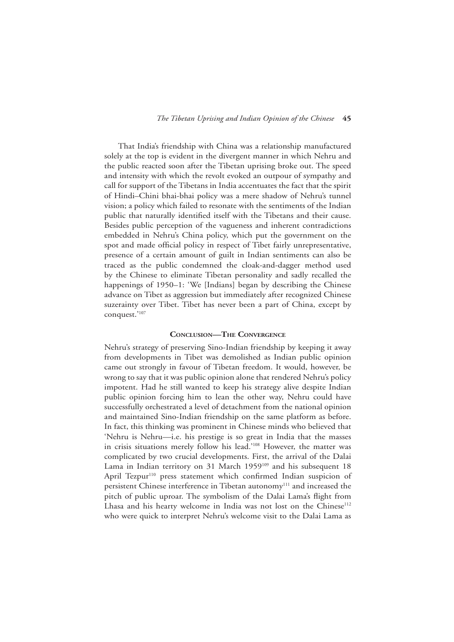That India's friendship with China was a relationship manufactured solely at the top is evident in the divergent manner in which Nehru and the public reacted soon after the Tibetan uprising broke out. The speed and intensity with which the revolt evoked an outpour of sympathy and call for support of the Tibetans in India accentuates the fact that the spirit of Hindi–Chini bhai-bhai policy was a mere shadow of Nehru's tunnel vision; a policy which failed to resonate with the sentiments of the Indian public that naturally identified itself with the Tibetans and their cause. Besides public perception of the vagueness and inherent contradictions embedded in Nehru's China policy, which put the government on the spot and made official policy in respect of Tibet fairly unrepresentative, presence of a certain amount of guilt in Indian sentiments can also be traced as the public condemned the cloak-and-dagger method used by the Chinese to eliminate Tibetan personality and sadly recalled the happenings of 1950–1: 'We [Indians] began by describing the Chinese advance on Tibet as aggression but immediately after recognized Chinese suzerainty over Tibet. Tibet has never been a part of China, except by conquest.'107

#### **Conclusion—The Convergence**

Nehru's strategy of preserving Sino-Indian friendship by keeping it away from developments in Tibet was demolished as Indian public opinion came out strongly in favour of Tibetan freedom. It would, however, be wrong to say that it was public opinion alone that rendered Nehru's policy impotent. Had he still wanted to keep his strategy alive despite Indian public opinion forcing him to lean the other way, Nehru could have successfully orchestrated a level of detachment from the national opinion and maintained Sino-Indian friendship on the same platform as before. In fact, this thinking was prominent in Chinese minds who believed that 'Nehru is Nehru—i.e. his prestige is so great in India that the masses in crisis situations merely follow his lead.'108 However, the matter was complicated by two crucial developments. First, the arrival of the Dalai Lama in Indian territory on 31 March 1959<sup>109</sup> and his subsequent 18 April Tezpur<sup>110</sup> press statement which confirmed Indian suspicion of persistent Chinese interference in Tibetan autonomy<sup>111</sup> and increased the pitch of public uproar. The symbolism of the Dalai Lama's flight from Lhasa and his hearty welcome in India was not lost on the Chinese<sup>112</sup> who were quick to interpret Nehru's welcome visit to the Dalai Lama as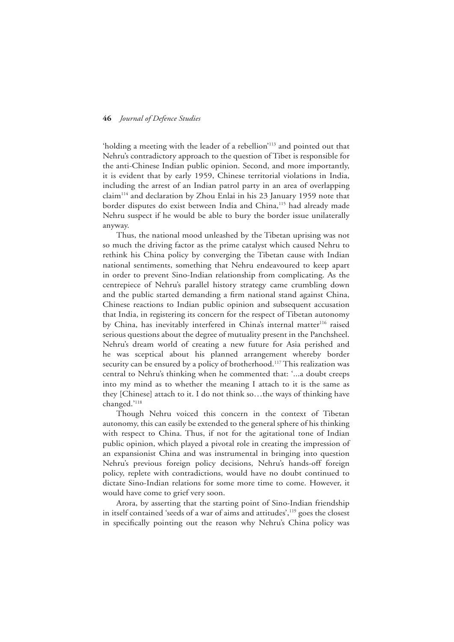'holding a meeting with the leader of a rebellion'113 and pointed out that Nehru's contradictory approach to the question of Tibet is responsible for the anti-Chinese Indian public opinion. Second, and more importantly, it is evident that by early 1959, Chinese territorial violations in India, including the arrest of an Indian patrol party in an area of overlapping claim114 and declaration by Zhou Enlai in his 23 January 1959 note that border disputes do exist between India and China,<sup>115</sup> had already made Nehru suspect if he would be able to bury the border issue unilaterally anyway.

Thus, the national mood unleashed by the Tibetan uprising was not so much the driving factor as the prime catalyst which caused Nehru to rethink his China policy by converging the Tibetan cause with Indian national sentiments, something that Nehru endeavoured to keep apart in order to prevent Sino-Indian relationship from complicating. As the centrepiece of Nehru's parallel history strategy came crumbling down and the public started demanding a firm national stand against China, Chinese reactions to Indian public opinion and subsequent accusation that India, in registering its concern for the respect of Tibetan autonomy by China, has inevitably interfered in China's internal matter<sup>116</sup> raised serious questions about the degree of mutuality present in the Panchsheel. Nehru's dream world of creating a new future for Asia perished and he was sceptical about his planned arrangement whereby border security can be ensured by a policy of brotherhood.<sup>117</sup> This realization was central to Nehru's thinking when he commented that: '...a doubt creeps into my mind as to whether the meaning I attach to it is the same as they [Chinese] attach to it. I do not think so…the ways of thinking have changed.'118

Though Nehru voiced this concern in the context of Tibetan autonomy, this can easily be extended to the general sphere of his thinking with respect to China. Thus, if not for the agitational tone of Indian public opinion, which played a pivotal role in creating the impression of an expansionist China and was instrumental in bringing into question Nehru's previous foreign policy decisions, Nehru's hands-off foreign policy, replete with contradictions, would have no doubt continued to dictate Sino-Indian relations for some more time to come. However, it would have come to grief very soon.

Arora, by asserting that the starting point of Sino-Indian friendship in itself contained 'seeds of a war of aims and attitudes',<sup>119</sup> goes the closest in specifically pointing out the reason why Nehru's China policy was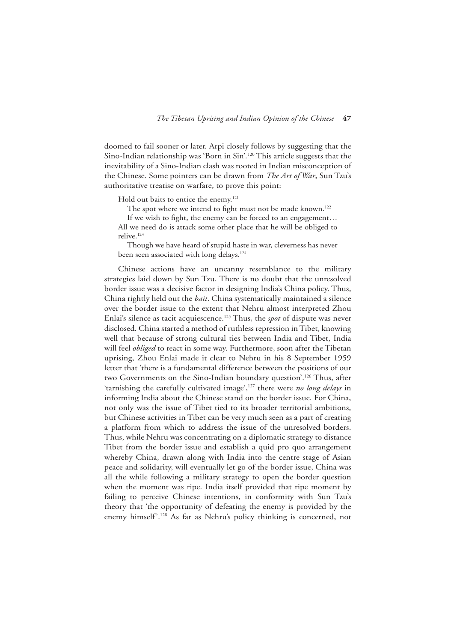doomed to fail sooner or later. Arpi closely follows by suggesting that the Sino-Indian relationship was 'Born in Sin'*.* 120 This article suggests that the inevitability of a Sino-Indian clash was rooted in Indian misconception of the Chinese. Some pointers can be drawn from *The Art of War*, Sun Tzu's authoritative treatise on warfare, to prove this point:

Hold out baits to entice the enemy.<sup>121</sup>

The spot where we intend to fight must not be made known.<sup>122</sup>

If we wish to fight, the enemy can be forced to an engagement… All we need do is attack some other place that he will be obliged to relive.123

Though we have heard of stupid haste in war, cleverness has never been seen associated with long delays.<sup>124</sup>

Chinese actions have an uncanny resemblance to the military strategies laid down by Sun Tzu. There is no doubt that the unresolved border issue was a decisive factor in designing India's China policy. Thus, China rightly held out the *bait*. China systematically maintained a silence over the border issue to the extent that Nehru almost interpreted Zhou Enlai's silence as tacit acquiescence.125 Thus, the *spot* of dispute was never disclosed. China started a method of ruthless repression in Tibet, knowing well that because of strong cultural ties between India and Tibet, India will feel *obliged* to react in some way. Furthermore, soon after the Tibetan uprising, Zhou Enlai made it clear to Nehru in his 8 September 1959 letter that 'there is a fundamental difference between the positions of our two Governments on the Sino-Indian boundary question'.<sup>126</sup> Thus, after 'tarnishing the carefully cultivated image',127 there were *no long delays* in informing India about the Chinese stand on the border issue. For China, not only was the issue of Tibet tied to its broader territorial ambitions, but Chinese activities in Tibet can be very much seen as a part of creating a platform from which to address the issue of the unresolved borders. Thus, while Nehru was concentrating on a diplomatic strategy to distance Tibet from the border issue and establish a quid pro quo arrangement whereby China, drawn along with India into the centre stage of Asian peace and solidarity, will eventually let go of the border issue, China was all the while following a military strategy to open the border question when the moment was ripe. India itself provided that ripe moment by failing to perceive Chinese intentions, in conformity with Sun Tzu's theory that 'the opportunity of defeating the enemy is provided by the enemy himself'.128 As far as Nehru's policy thinking is concerned, not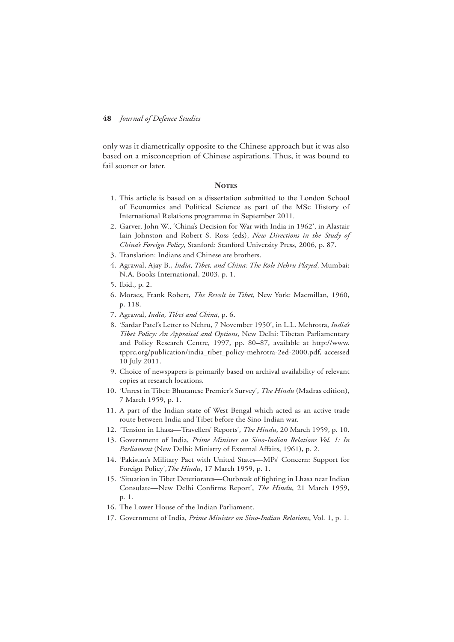only was it diametrically opposite to the Chinese approach but it was also based on a misconception of Chinese aspirations. Thus, it was bound to fail sooner or later.

#### **NOTES**

- 1. This article is based on a dissertation submitted to the London School of Economics and Political Science as part of the MSc History of International Relations programme in September 2011.
- 2. Garver, John W., 'China's Decision for War with India in 1962', in Alastair Iain Johnston and Robert S. Ross (eds), *New Directions in the Study of China's Foreign Policy*, Stanford: Stanford University Press, 2006, p. 87.
- 3. Translation: Indians and Chinese are brothers.
- 4. Agrawal, Ajay B., *India, Tibet, and China: The Role Nehru Played*, Mumbai: N.A. Books International, 2003, p. 1.
- 5. Ibid., p. 2.
- 6. Moraes, Frank Robert, *The Revolt in Tibet*, New York: Macmillan, 1960, p. 118.
- 7. Agrawal, *India, Tibet and China*, p. 6.
- 8. 'Sardar Patel's Letter to Nehru, 7 November 1950', in L.L. Mehrotra, *India's Tibet Policy: An Appraisal and Options*, New Delhi: Tibetan Parliamentary and Policy Research Centre, 1997, pp. 80–87, available at http://www. tpprc.org/publication/india\_tibet\_policy-mehrotra-2ed-2000.pdf, accessed 10 July 2011.
- 9. Choice of newspapers is primarily based on archival availability of relevant copies at research locations.
- 10. 'Unrest in Tibet: Bhutanese Premier's Survey', *The Hindu* (Madras edition), 7 March 1959, p. 1.
- 11. A part of the Indian state of West Bengal which acted as an active trade route between India and Tibet before the Sino-Indian war.
- 12. 'Tension in Lhasa—Travellers' Reports', *The Hindu*, 20 March 1959, p. 10.
- 13. Government of India, *Prime Minister on Sino-Indian Relations Vol. 1: In Parliament* (New Delhi: Ministry of External Affairs, 1961), p. 2.
- 14. 'Pakistan's Military Pact with United States—MPs' Concern: Support for Foreign Policy',*The Hindu*, 17 March 1959, p. 1.
- 15. 'Situation in Tibet Deteriorates—Outbreak of fighting in Lhasa near Indian Consulate—New Delhi Confirms Report', *The Hindu*, 21 March 1959, p. 1.
- 16. The Lower House of the Indian Parliament.
- 17. Government of India, *Prime Minister on Sino-Indian Relations*, Vol. 1, p. 1.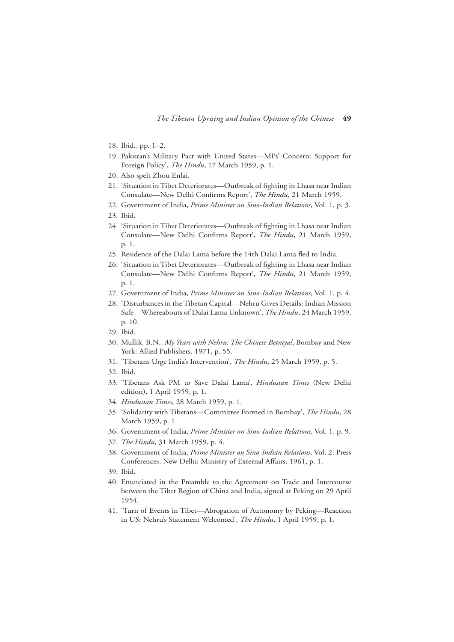- 18. Ibid., pp. 1–2.
- 19. Pakistan's Military Pact with United States—MPs' Concern: Support for Foreign Policy', *The Hindu*, 17 March 1959, p. 1.
- 20. Also spelt Zhou Enlai.
- 21. 'Situation in Tibet Deteriorates—Outbreak of fighting in Lhasa near Indian Consulate—New Delhi Confirms Report', *The Hindu*, 21 March 1959.
- 22. Government of India, *Prime Minister on Sino-Indian Relations*, Vol. 1, p. 3.
- 23. Ibid.
- 24. 'Situation in Tibet Deteriorates—Outbreak of fighting in Lhasa near Indian Consulate—New Delhi Confirms Report', *The Hindu*, 21 March 1959, p. 1.
- 25. Residence of the Dalai Lama before the 14th Dalai Lama fled to India.
- 26. 'Situation in Tibet Deteriorates—Outbreak of fighting in Lhasa near Indian Consulate—New Delhi Confirms Report', *The Hindu*, 21 March 1959, p. 1.
- 27. Government of India, *Prime Minister on Sino-Indian Relations*, Vol. 1, p. 4.
- 28. 'Disturbances in the Tibetan Capital—Nehru Gives Details: Indian Mission Safe—Whereabouts of Dalai Lama Unknown', *The Hindu*, 24 March 1959, p. 10.
- 29. Ibid.
- 30. Mullik, B.N., *My Years with Nehru: The Chinese Betrayal*, Bombay and New York: Allied Publishers, 1971, p. 55.
- 31. 'Tibetans Urge India's Intervention', *The Hindu*, 25 March 1959, p. 5.
- 32. Ibid.
- 33. 'Tibetans Ask PM to Save Dalai Lama', *Hindustan Times* (New Delhi edition), 1 April 1959, p. 1.
- 34. *Hindustan Times*, 28 March 1959, p. 1.
- 35. 'Solidarity with Tibetans—Committee Formed in Bombay', *The Hindu*, 28 March 1959, p. 1.
- 36. Government of India, *Prime Minister on Sino-Indian Relations*, Vol. 1, p. 9.
- 37. *The Hindu*, 31 March 1959, p. 4.
- 38. Government of India, *Prime Minister on Sino-Indian Relations*, Vol. 2: Press Conferences, New Delhi: Ministry of External Affairs, 1961, p. 1.
- 39. Ibid.
- 40. Enunciated in the Preamble to the Agreement on Trade and Intercourse between the Tibet Region of China and India, signed at Peking on 29 April 1954.
- 41. 'Turn of Events in Tibet—Abrogation of Autonomy by Peking—Reaction in US: Nehru's Statement Welcomed', *The Hindu*, 1 April 1959, p. 1.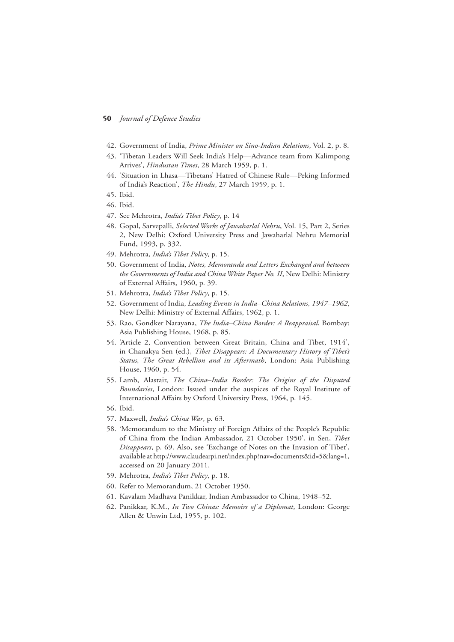- 42. Government of India, *Prime Minister on Sino-Indian Relations*, Vol. 2, p. 8.
- 43. 'Tibetan Leaders Will Seek India's Help—Advance team from Kalimpong Arrives', *Hindustan Times*, 28 March 1959, p. 1.
- 44. 'Situation in Lhasa—Tibetans' Hatred of Chinese Rule—Peking Informed of India's Reaction', *The Hindu*, 27 March 1959, p. 1.
- 45. Ibid.
- 46. Ibid.
- 47. See Mehrotra, *India's Tibet Policy*, p. 14
- 48. Gopal, Sarvepalli, *Selected Works of Jawaharlal Nehru*, Vol. 15, Part 2, Series 2, New Delhi: Oxford University Press and Jawaharlal Nehru Memorial Fund, 1993, p. 332.
- 49. Mehrotra, *India's Tibet Polic*y, p. 15.
- 50. Government of India, *Notes, Memoranda and Letters Exchanged and between the Governments of India and China White Paper No. II*, New Delhi: Ministry of External Affairs, 1960, p. 39.
- 51. Mehrotra, *India's Tibet Policy*, p. 15.
- 52. Government of India, *Leading Events in India–China Relations, 1947–1962*, New Delhi: Ministry of External Affairs, 1962, p. 1.
- 53. Rao, Gondker Narayana, *The India–China Border: A Reappraisal*, Bombay: Asia Publishing House, 1968, p. 85.
- 54. 'Article 2, Convention between Great Britain, China and Tibet, 1914', in Chanakya Sen (ed.), *Tibet Disappears: A Documentary History of Tibet's Status, The Great Rebellion and its Aftermath*, London: Asia Publishing House, 1960, p. 54.
- 55. Lamb, Alastair, *The China–India Border: The Origins of the Disputed Boundaries*, London: Issued under the auspices of the Royal Institute of International Affairs by Oxford University Press, 1964, p. 145.
- 56. Ibid.
- 57. Maxwell, *India's China War*, p. 63.
- 58. 'Memorandum to the Ministry of Foreign Affairs of the People's Republic of China from the Indian Ambassador, 21 October 1950', in Sen, *Tibet Disappears*, p. 69. Also, see 'Exchange of Notes on the Invasion of Tibet', available at http://www.claudearpi.net/index.php?nav=documents&id=5&lang=1, accessed on 20 January 2011.
- 59. Mehrotra, *India's Tibet Policy*, p. 18.
- 60. Refer to Memorandum, 21 October 1950.
- 61. Kavalam Madhava Panikkar, Indian Ambassador to China, 1948–52.
- 62. Panikkar, K.M., *In Two Chinas: Memoirs of a Diplomat*, London: George Allen & Unwin Ltd, 1955, p. 102.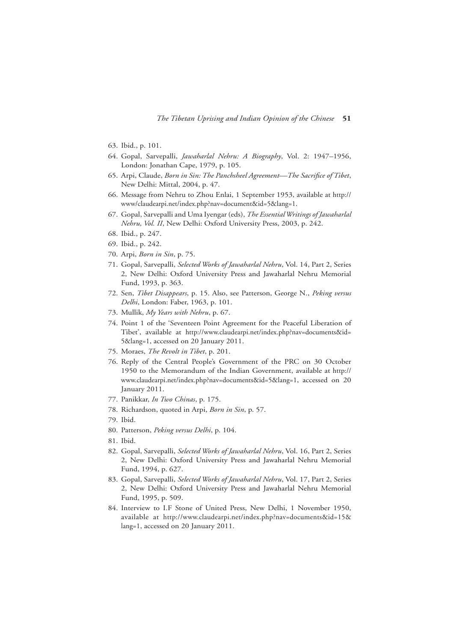*The Tibetan Uprising and Indian Opinion of the Chinese* **51**

- 63. Ibid., p. 101.
- 64. Gopal, Sarvepalli, *Jawaharlal Nehru: A Biography*, Vol. 2: 1947–1956, London: Jonathan Cape, 1979, p. 105.
- 65. Arpi, Claude, *Born in Sin: The Panchsheel Agreement—The Sacrifice of Tibet*, New Delhi: Mittal, 2004, p. 47.
- 66. Message from Nehru to Zhou Enlai, 1 September 1953, available at http:// www/claudearpi.net/index.php?nav=document&id=5&lang=1.
- 67. Gopal, Sarvepalli and Uma Iyengar (eds), *The Essential Writings of Jawaharlal Nehru, Vol. II*, New Delhi: Oxford University Press, 2003, p. 242.
- 68. Ibid., p. 247.
- 69. Ibid., p. 242.
- 70. Arpi, *Born in Sin*, p. 75.
- 71. Gopal, Sarvepalli, *Selected Works of Jawaharlal Nehru*, Vol. 14, Part 2, Series 2, New Delhi: Oxford University Press and Jawaharlal Nehru Memorial Fund, 1993, p. 363.
- 72. Sen, *Tibet Disappears*, p. 15. Also, see Patterson, George N., *Peking versus Delhi*, London: Faber, 1963, p. 101.
- 73. Mullik, *My Years with Nehru*, p. 67.
- 74. Point 1 of the 'Seventeen Point Agreement for the Peaceful Liberation of Tibet', available at http://www.claudearpi.net/index.php?nav=documents&id= 5&lang=1, accessed on 20 January 2011.
- 75. Moraes, *The Revolt in Tibet*, p. 201.
- 76. Reply of the Central People's Government of the PRC on 30 October 1950 to the Memorandum of the Indian Government, available at http:// www.claudearpi.net/index.php?nav=documents&id=5&lang=1, accessed on 20 January 2011.
- 77. Panikkar, *In Two Chinas*, p. 175.
- 78. Richardson, quoted in Arpi, *Born in Sin*, p. 57.
- 79. Ibid.
- 80. Patterson, *Peking versus Delhi*, p. 104.
- 81. Ibid.
- 82. Gopal, Sarvepalli, *Selected Works of Jawaharlal Nehru*, Vol. 16, Part 2, Series 2, New Delhi: Oxford University Press and Jawaharlal Nehru Memorial Fund, 1994, p. 627.
- 83. Gopal, Sarvepalli, *Selected Works of Jawaharlal Nehru*, Vol. 17, Part 2, Series 2, New Delhi: Oxford University Press and Jawaharlal Nehru Memorial Fund, 1995, p. 509.
- 84. Interview to I.F Stone of United Press, New Delhi, 1 November 1950, available at http://www.claudearpi.net/index.php?nav=documents&id=15& lang=1, accessed on 20 January 2011.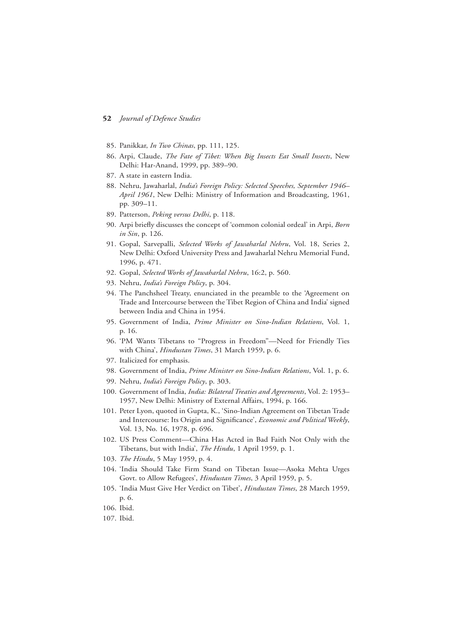- 85. Panikkar, *In Two Chinas*, pp. 111, 125.
- 86. Arpi, Claude, *The Fate of Tibet: When Big Insects Eat Small Insects*, New Delhi: Har-Anand, 1999, pp. 389–90.
- 87. A state in eastern India.
- 88. Nehru, Jawaharlal, *India's Foreign Policy: Selected Speeches, September 1946– April 1961*, New Delhi: Ministry of Information and Broadcasting, 1961, pp. 309–11.
- 89. Patterson, *Peking versus Delhi*, p. 118.
- 90. Arpi briefly discusses the concept of 'common colonial ordeal' in Arpi, *Born in Sin*, p. 126.
- 91. Gopal, Sarvepalli, *Selected Works of Jawaharlal Nehru*, Vol. 18, Series 2, New Delhi: Oxford University Press and Jawaharlal Nehru Memorial Fund, 1996, p. 471.
- 92. Gopal, *Selected Works of Jawaharlal Nehru*, 16:2, p. 560.
- 93. Nehru, *India's Foreign Policy*, p. 304.
- 94. The Panchsheel Treaty, enunciated in the preamble to the 'Agreement on Trade and Intercourse between the Tibet Region of China and India' signed between India and China in 1954.
- 95. Government of India, *Prime Minister on Sino-Indian Relations*, Vol. 1, p. 16.
- 96. 'PM Wants Tibetans to "Progress in Freedom"—Need for Friendly Ties with China', *Hindustan Times*, 31 March 1959, p. 6.
- 97. Italicized for emphasis.
- 98. Government of India, *Prime Minister on Sino-Indian Relations*, Vol. 1, p. 6.
- 99. Nehru, *India's Foreign Policy*, p. 303.
- 100. Government of India, *India: Bilateral Treaties and Agreements*, Vol. 2: 1953– 1957, New Delhi: Ministry of External Affairs, 1994, p. 166.
- 101. Peter Lyon, quoted in Gupta, K., 'Sino-Indian Agreement on Tibetan Trade and Intercourse: Its Origin and Significance', *Economic and Political Weekly*, Vol. 13, No. 16, 1978, p. 696.
- 102. US Press Comment—China Has Acted in Bad Faith Not Only with the Tibetans, but with India', *The Hindu*, 1 April 1959, p. 1.
- 103. *The Hindu*, 5 May 1959, p. 4.
- 104. 'India Should Take Firm Stand on Tibetan Issue—Asoka Mehta Urges Govt. to Allow Refugees', *Hindustan Times*, 3 April 1959, p. 5.
- 105. 'India Must Give Her Verdict on Tibet', *Hindustan Times*, 28 March 1959, p. 6.
- 106. Ibid.
- 107. Ibid.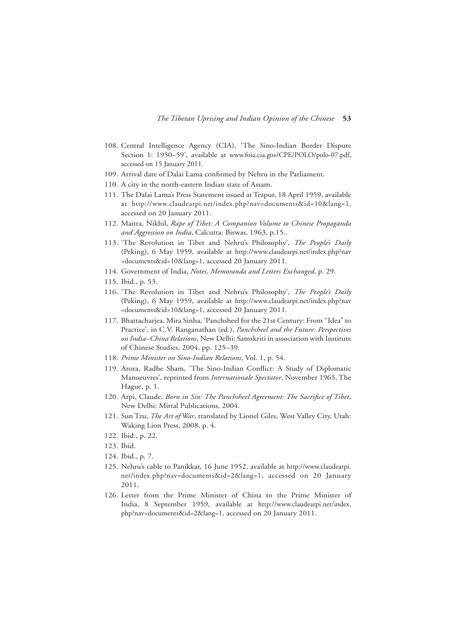- 108. Central Intelligence Agency (CIA), 'The Sino-Indian Border Dispute Section 1: 1950–59', available at www.foia.cia.gov/CPE/POLO/polo-07.pdf, accessed on 15 January 2011.
- 109. Arrival date of Dalai Lama confirmed by Nehru in the Parliament.
- 110. A city in the north-eastern Indian state of Assam.
- 111. The Dalai Lama's Press Statement issued at Tezpur, 18 April 1959, available at http://www.claudearpi.net/index.php?nav=documents&id=10&lang=1, accessed on 20 January 2011.
- 112. Maitra, Nikhil, *Rape of Tibet: A Companion Volume to Chinese Propaganda and Aggression on India*, Calcutta: Biswas, 1963, p.15..
- 113. 'The Revolution in Tibet and Nehru's Philosophy', *The People's Daily* (Peking), 6 May 1959, available at http://www.claudearpi.net/index.php?nav =documents&id=10&lang=1, accessed 20 January 2011.
- 114. Government of India, *Notes, Memoranda and Letters Exchanged*, p. 29.
- 115. Ibid., p. 53.
- 116. 'The Revolution in Tibet and Nehru's Philosophy', *The People's Daily* (Peking), 6 May 1959, available at http://www.claudearpi.net/index.php?nav =documents&id=10&lang=1, accessed 20 January 2011.
- 117. Bhattacharjea, Mira Sinha, 'Panchsheel for the 21st Century: From "Idea" to Practice', in C.V. Ranganathan (ed.), *Panchsheel and the Future: Perspectives on India–China Relations*, New Delhi: Samskriti in association with Institute of Chinese Studies, 2004, pp. 125–39.
- 118. *Prime Minister on Sino-Indian Relations*, Vol. 1, p. 54.
- 119. Arora, Radhe Sham, 'The Sino-Indian Conflict: A Study of Diplomatic Manoeuvres', reprinted from *Internationale Spectator*, November 1965, The Hague, p. 1.
- 120. Arpi, Claude, *Born in Sin: The Panchsheel Agreement: The Sacrifice of Tibet*, New Delhi: Mittal Publications, 2004.
- 121. Sun Tzu, *The Art of War*, translated by Lionel Giles, West Valley City, Utah: Waking Lion Press, 2008, p. 4.
- 122. Ibid., p. 22.
- 123. Ibid.
- 124. Ibid., p. 7.
- 125. Nehru's cable to Panikkar, 16 June 1952, available at http://www.claudearpi. net/index.php?nav=documents&id=2&lang=1, accessed on 20 January 2011.
- 126. Letter from the Prime Minister of China to the Prime Minister of India, 8 September 1959, available at http://www.claudearpi.net/index. php?nav=documents&id=2&lang=1, accessed on 20 January 2011.